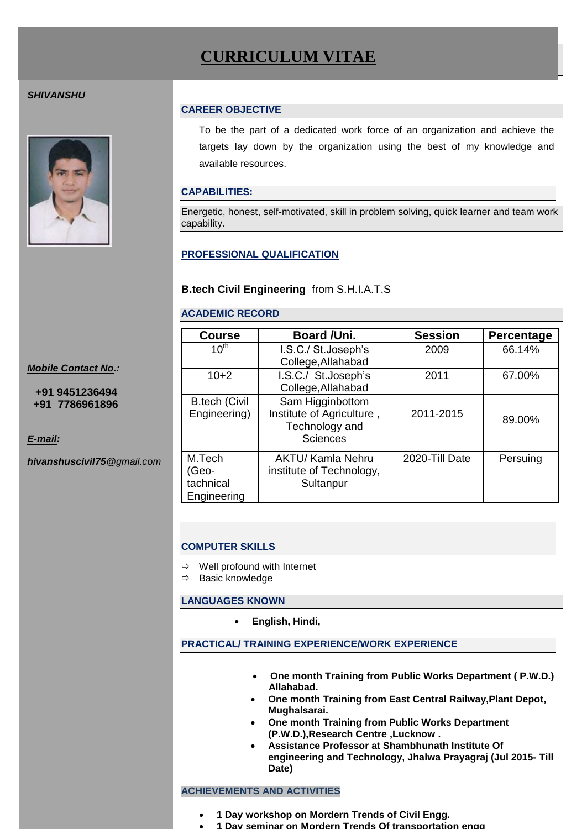# **CURRICULUM VITAE**

## *SHIVANSHU*



#### **CAREER OBJECTIVE**

To be the part of a dedicated work force of an organization and achieve the targets lay down by the organization using the best of my knowledge and available resources.

## **CAPABILITIES:**

Energetic, honest, self-motivated, skill in problem solving, quick learner and team work capability.

# **PROFESSIONAL QUALIFICATION**

## **B.tech Civil Engineering** from S.H.I.A.T.S

#### **ACADEMIC RECORD**

| <b>Course</b>                               | Board /Uni.                                                                        | <b>Session</b> | Percentage |
|---------------------------------------------|------------------------------------------------------------------------------------|----------------|------------|
| $10^{th}$                                   | I.S.C./ St.Joseph's<br>College, Allahabad                                          | 2009           | 66.14%     |
| $10+2$                                      | I.S.C./ St.Joseph's<br>College, Allahabad                                          | 2011           | 67.00%     |
| <b>B.tech (Civil</b><br>Engineering)        | Sam Higginbottom<br>Institute of Agriculture,<br>Technology and<br><b>Sciences</b> | 2011-2015      | 89.00%     |
| M.Tech<br>(Geo-<br>tachnical<br>Engineering | <b>AKTU/ Kamla Nehru</b><br>institute of Technology,<br>Sultanpur                  | 2020-Till Date | Persuing   |

#### **COMPUTER SKILLS**

 $\Rightarrow$  Well profound with Internet

 $\Rightarrow$  Basic knowledge

#### **LANGUAGES KNOWN**

**English, Hindi,** 

#### **PRACTICAL/ TRAINING EXPERIENCE/WORK EXPERIENCE**

- **One month Training from Public Works Department ( P.W.D.) Allahabad.**
- **One month Training from East Central Railway,Plant Depot, Mughalsarai.**
- **One month Training from Public Works Department (P.W.D.),Research Centre ,Lucknow .**
- **Assistance Professor at Shambhunath Institute Of engineering and Technology, Jhalwa Prayagraj (Jul 2015- Till Date)**

## **ACHIEVEMENTS AND ACTIVITIES**

- **1 Day workshop on Mordern Trends of Civil Engg.**
- **1 Day seminar on Mordern Trends Of transportation engg**

*Mobile Contact No.:*

 **+91 9451236494 +91 7786961896**

*E-mail:*

*hivanshuscivil75@gmail.com*